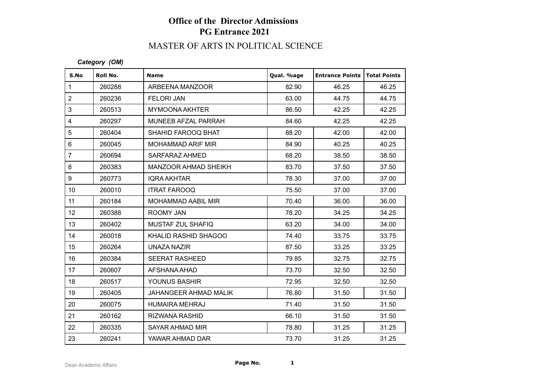# MASTER OF ARTS IN POLITICAL SCIENCE

#### *Category (OM)*

| S.No            | Roll No. | <b>Name</b>               | Qual. %age | <b>Entrance Points   Total Points</b> |       |
|-----------------|----------|---------------------------|------------|---------------------------------------|-------|
| $\mathbf{1}$    | 260288   | ARBEENA MANZOOR           | 82.90      | 46.25                                 | 46.25 |
| $\overline{2}$  | 260236   | <b>FELORI JAN</b>         | 63.00      | 44.75                                 | 44.75 |
| 3               | 260513   | <b>MYMOONA AKHTER</b>     | 86.50      | 42.25                                 | 42.25 |
| $\overline{4}$  | 260297   | MUNEEB AFZAL PARRAH       | 84.60      | 42.25                                 | 42.25 |
| 5               | 260404   | SHAHID FAROOQ BHAT        | 88.20      | 42.00                                 | 42.00 |
| $6\phantom{1}$  | 260045   | MOHAMMAD ARIF MIR         | 84.90      | 40.25                                 | 40.25 |
| $\overline{7}$  | 260694   | SARFARAZ AHMED            | 68.20      | 38.50                                 | 38.50 |
| 8               | 260383   | MANZOOR AHMAD SHEIKH      | 83.70      | 37.50                                 | 37.50 |
| 9               | 260773   | <b>IQRA AKHTAR</b>        | 78.30      | 37.00                                 | 37.00 |
| 10 <sup>°</sup> | 260010   | <b>ITRAT FAROOQ</b>       | 75.50      | 37.00                                 | 37.00 |
| 11              | 260184   | <b>MOHAMMAD AABIL MIR</b> | 70.40      | 36.00                                 | 36.00 |
| 12 <sup>°</sup> | 260388   | ROOMY JAN                 | 78.20      | 34.25                                 | 34.25 |
| 13              | 260402   | MUSTAF ZUL SHAFIQ         | 63.20      | 34.00                                 | 34.00 |
| 14              | 260018   | KHALID RASHID SHAGOO      | 74.40      | 33.75                                 | 33.75 |
| 15              | 260264   | UNAZA NAZIR               | 87.50      | 33.25                                 | 33.25 |
| 16              | 260384   | <b>SEERAT RASHEED</b>     | 79.85      | 32.75                                 | 32.75 |
| 17              | 260607   | AFSHANA AHAD              | 73.70      | 32.50                                 | 32.50 |
| 18              | 260517   | YOUNUS BASHIR             | 72.95      | 32.50                                 | 32.50 |
| 19              | 260405   | JAHANGEER AHMAD MALIK     | 76.80      | 31.50                                 | 31.50 |
| 20              | 260075   | <b>HUMAIRA MEHRAJ</b>     | 71.40      | 31.50                                 | 31.50 |
| 21              | 260162   | <b>RIZWANA RASHID</b>     | 66.10      | 31.50                                 | 31.50 |
| 22              | 260335   | SAYAR AHMAD MIR           | 78.80      | 31.25                                 | 31.25 |
| 23              | 260241   | YAWAR AHMAD DAR           | 73.70      | 31.25                                 | 31.25 |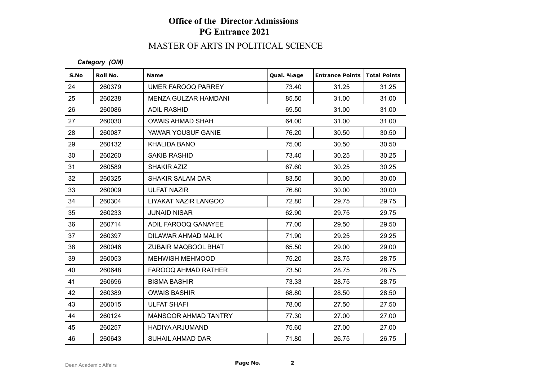# MASTER OF ARTS IN POLITICAL SCIENCE

#### *Category (OM)*

| S.No | Roll No. | <b>Name</b>                 | Qual. %age | <b>Entrance Points</b> | <b>Total Points</b> |
|------|----------|-----------------------------|------------|------------------------|---------------------|
| 24   | 260379   | UMER FAROOQ PARREY          | 73.40      | 31.25                  | 31.25               |
| 25   | 260238   | MENZA GULZAR HAMDANI        | 85.50      | 31.00                  | 31.00               |
| 26   | 260086   | <b>ADIL RASHID</b>          | 69.50      | 31.00                  | 31.00               |
| 27   | 260030   | <b>OWAIS AHMAD SHAH</b>     | 64.00      | 31.00                  | 31.00               |
| 28   | 260087   | YAWAR YOUSUF GANIE          | 76.20      | 30.50                  | 30.50               |
| 29   | 260132   | KHALIDA BANO                | 75.00      | 30.50                  | 30.50               |
| 30   | 260260   | <b>SAKIB RASHID</b>         | 73.40      | 30.25                  | 30.25               |
| 31   | 260589   | <b>SHAKIR AZIZ</b>          | 67.60      | 30.25                  | 30.25               |
| 32   | 260325   | <b>SHAKIR SALAM DAR</b>     | 83.50      | 30.00                  | 30.00               |
| 33   | 260009   | <b>ULFAT NAZIR</b>          | 76.80      | 30.00                  | 30.00               |
| 34   | 260304   | LIYAKAT NAZIR LANGOO        | 72.80      | 29.75                  | 29.75               |
| 35   | 260233   | <b>JUNAID NISAR</b>         | 62.90      | 29.75                  | 29.75               |
| 36   | 260714   | ADIL FAROOQ GANAYEE         | 77.00      | 29.50                  | 29.50               |
| 37   | 260397   | DILAWAR AHMAD MALIK         | 71.90      | 29.25                  | 29.25               |
| 38   | 260046   | ZUBAIR MAQBOOL BHAT         | 65.50      | 29.00                  | 29.00               |
| 39   | 260053   | <b>MEHWISH MEHMOOD</b>      | 75.20      | 28.75                  | 28.75               |
| 40   | 260648   | FAROOQ AHMAD RATHER         | 73.50      | 28.75                  | 28.75               |
| 41   | 260696   | <b>BISMA BASHIR</b>         | 73.33      | 28.75                  | 28.75               |
| 42   | 260389   | <b>OWAIS BASHIR</b>         | 68.80      | 28.50                  | 28.50               |
| 43   | 260015   | <b>ULFAT SHAFI</b>          | 78.00      | 27.50                  | 27.50               |
| 44   | 260124   | <b>MANSOOR AHMAD TANTRY</b> | 77.30      | 27.00                  | 27.00               |
| 45   | 260257   | <b>HADIYA ARJUMAND</b>      | 75.60      | 27.00                  | 27.00               |
| 46   | 260643   | <b>SUHAIL AHMAD DAR</b>     | 71.80      | 26.75                  | 26.75               |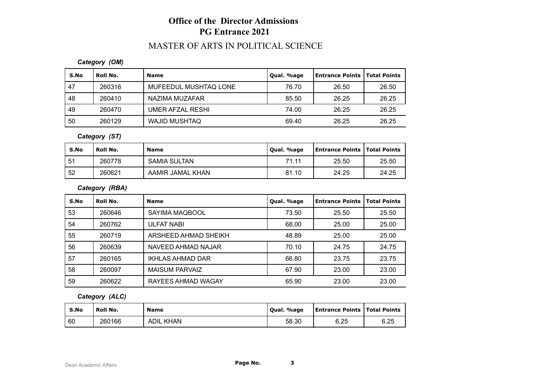## MASTER OF ARTS IN POLITICAL SCIENCE

#### *Category (OM)*

| S.No | Roll No. | <b>Name</b>           | Qual. %age | Entrance Points   Total Points |       |
|------|----------|-----------------------|------------|--------------------------------|-------|
| 47   | 260316   | MUFEEDUL MUSHTAQ LONE | 76.70      | 26.50                          | 26.50 |
| 48   | 260410   | NAZIMA MUZAFAR        | 85.50      | 26.25                          | 26.25 |
| 49   | 260470   | UMER AFZAL RESHI      | 74.00      | 26.25                          | 26.25 |
| 50   | 260129   | <b>WAJID MUSHTAQ</b>  | 69.40      | 26.25                          | 26.25 |

#### *Category (ST)*

| S.No | Roll No. | <b>Name</b>      | Qual. %age | <b>Entrance Points   Total Points</b> |       |
|------|----------|------------------|------------|---------------------------------------|-------|
| . 51 | 260778   | SAMIA SULTAN     | 71.11      | 25.50                                 | 25.50 |
| 52   | 260621   | AAMIR JAMAL KHAN | 81.10      | 24.25                                 | 24.25 |

#### *Category (RBA)*

| S.No | Roll No. | <b>Name</b>           | Qual. %age | <b>Entrance Points</b> | <b>Total Points</b> |
|------|----------|-----------------------|------------|------------------------|---------------------|
| 53   | 260646   | SAYIMA MAQBOOL        | 73.50      | 25.50                  | 25.50               |
| 54   | 260762   | <b>ULFAT NABI</b>     | 68.00      | 25.00                  | 25.00               |
| 55   | 260719   | ARSHEED AHMAD SHEIKH  | 48.89      | 25.00                  | 25.00               |
| 56   | 260639   | NAVEED AHMAD NAJAR    | 70.10      | 24.75                  | 24.75               |
| 57   | 260165   | IKHLAS AHMAD DAR      | 66.80      | 23.75                  | 23.75               |
| 58   | 260097   | <b>MAISUM PARVAIZ</b> | 67.90      | 23.00                  | 23.00               |
| 59   | 260622   | RAYEES AHMAD WAGAY    | 65.90      | 23.00                  | 23.00               |

### *Category (ALC)*

| S.No | Roll No. | <b>Name</b>      | Qual. %age | <b>Entrance Points   Total Points</b> |      |
|------|----------|------------------|------------|---------------------------------------|------|
| 60   | 260166   | <b>ADIL KHAN</b> | 58.30      | 6.25                                  | 6.25 |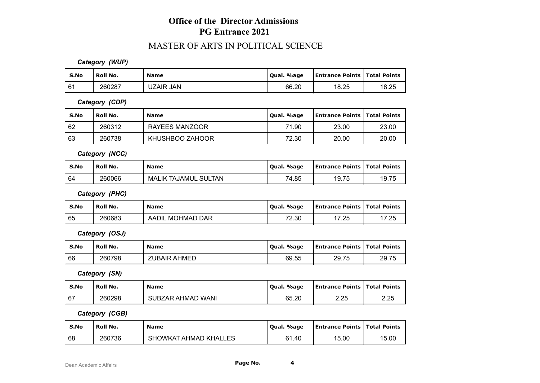### MASTER OF ARTS IN POLITICAL SCIENCE

*Category (WUP)*

| S.No | Roll No. | <b>Name</b>      | Qual. %age | <b>Entrance Points   Total Points</b> |       |
|------|----------|------------------|------------|---------------------------------------|-------|
| 61   | 260287   | <b>UZAIR JAN</b> | 66.20      | 18.25                                 | 18.25 |

*Category (CDP)*

| S.No | Roll No. | <b>Name</b>     | Qual. %age | <b>Entrance Points   Total Points</b> |       |
|------|----------|-----------------|------------|---------------------------------------|-------|
| 62   | 260312   | RAYEES MANZOOR  | 71.90      | 23.00                                 | 23.00 |
| 63   | 260738   | KHUSHBOO ZAHOOR | 72.30      | 20.00                                 | 20.00 |

*Category (NCC)*

| S.No | Roll No. | <b>Name</b>                 | Qual. %age | <b>Entrance Points   Total Points</b> |       |
|------|----------|-----------------------------|------------|---------------------------------------|-------|
| l 64 | 260066   | <b>MALIK TAJAMUL SULTAN</b> | 74.85      | 19.75                                 | 19.75 |

*Category (PHC)*

| S.No | <b>Roll No.</b> | <b>Name</b>      | Qual. %age | <b>Entrance Points   Total Points</b> |       |
|------|-----------------|------------------|------------|---------------------------------------|-------|
| 65   | 260683          | AADIL MOHMAD DAR | 72.30      | 17.25                                 | 17.25 |

*Category (OSJ)*

| S.No | <b>Roll No.</b> | Name                | Qual. %age | <b>LEntrance Points   Total Points</b> |       |
|------|-----------------|---------------------|------------|----------------------------------------|-------|
| 66   | 260798          | <b>ZUBAIR AHMED</b> | 69.55      | 29.75                                  | 29.75 |

*Category (SN)*

| S.No | Roll No. | <b>Name</b>       | Qual. %age | <b>Entrance Points   Total Points</b> |      |
|------|----------|-------------------|------------|---------------------------------------|------|
| 67   | 260298   | SUBZAR AHMAD WANI | 65.20      | 2.25                                  | 2.25 |

*Category (CGB)*

| S.No | Roll No. | <b>Name</b>           | Qual. %age | <b>Entrance Points   Total Points</b> |       |
|------|----------|-----------------------|------------|---------------------------------------|-------|
| 68   | 260736   | SHOWKAT AHMAD KHALLES | 61.40      | 15.00                                 | 15.00 |